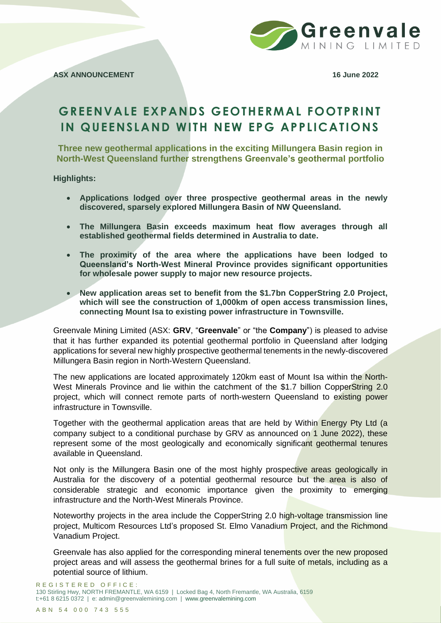

# **GREENVALE EXPANDS GEOTHERMAL FOOTPRINT IN QUEENSLAND WITH NEW EPG APPLICATIONS**

**Three new geothermal applications in the exciting Millungera Basin region in North-West Queensland further strengthens Greenvale's geothermal portfolio**

**Highlights:** 

- **Applications lodged over three prospective geothermal areas in the newly discovered, sparsely explored Millungera Basin of NW Queensland.**
- **The Millungera Basin exceeds maximum heat flow averages through all established geothermal fields determined in Australia to date.**
- **The proximity of the area where the applications have been lodged to Queensland's North-West Mineral Province provides significant opportunities for wholesale power supply to major new resource projects.**
- **New application areas set to benefit from the \$1.7bn CopperString 2.0 Project, which will see the construction of 1,000km of open access transmission lines, connecting Mount Isa to existing power infrastructure in Townsville.**

Greenvale Mining Limited (ASX: **GRV**, "**Greenvale**" or "the **Company**") is pleased to advise that it has further expanded its potential geothermal portfolio in Queensland after lodging applications for several new highly prospective geothermal tenements in the newly-discovered Millungera Basin region in North-Western Queensland.

The new applications are located approximately 120km east of Mount Isa within the North-West Minerals Province and lie within the catchment of the \$1.7 billion CopperString 2.0 project, which will connect remote parts of north-western Queensland to existing power infrastructure in Townsville.

Together with the geothermal application areas that are held by Within Energy Pty Ltd (a company subject to a conditional purchase by GRV as announced on 1 June 2022), these represent some of the most geologically and economically significant geothermal tenures available in Queensland.

Not only is the Millungera Basin one of the most highly prospective areas geologically in Australia for the discovery of a potential geothermal resource but the area is also of considerable strategic and economic importance given the proximity to emerging infrastructure and the North-West Minerals Province.

Noteworthy projects in the area include the CopperString 2.0 high-voltage transmission line project, Multicom Resources Ltd's proposed St. Elmo Vanadium Project, and the Richmond Vanadium Project.

Greenvale has also applied for the corresponding mineral tenements over the new proposed project areas and will assess the geothermal brines for a full suite of metals, including as a potential source of lithium.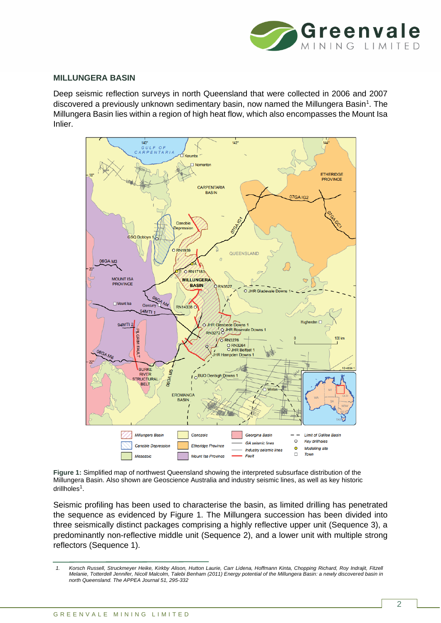

#### **MILLUNGERA BASIN**

Deep seismic reflection surveys in north Queensland that were collected in 2006 and 2007 discovered a previously unknown sedimentary basin, now named the Millungera Basin<sup>1</sup>. The Millungera Basin lies within a region of high heat flow, which also encompasses the Mount Isa Inlier.



<span id="page-1-0"></span>**Figure 1:** Simplified map of northwest Queensland showing the interpreted subsurface distribution of the Millungera Basin. Also shown are Geoscience Australia and industry seismic lines, as well as key historic drillholes<sup>1</sup>.

Seismic profiling has been used to characterise the basin, as limited drilling has penetrated the sequence as evidenced by [Figure 1.](#page-1-0) The Millungera succession has been divided into three seismically distinct packages comprising a highly reflective upper unit (Sequence 3), a predominantly non-reflective middle unit (Sequence 2), and a lower unit with multiple strong reflectors (Sequence 1).

*<sup>1.</sup> Korsch Russell, Struckmeyer Heike, Kirkby Alison, Hutton Laurie, Carr Lidena, Hoffmann Kinta, Chopping Richard, Roy Indrajit, Fitzell Melanie, Totterdell Jennifer, Nicoll Malcolm, Talebi Benham (2011) Energy potential of the Millungera Basin: a newly discovered basin in north Queensland. The APPEA Journal 51, 295-332*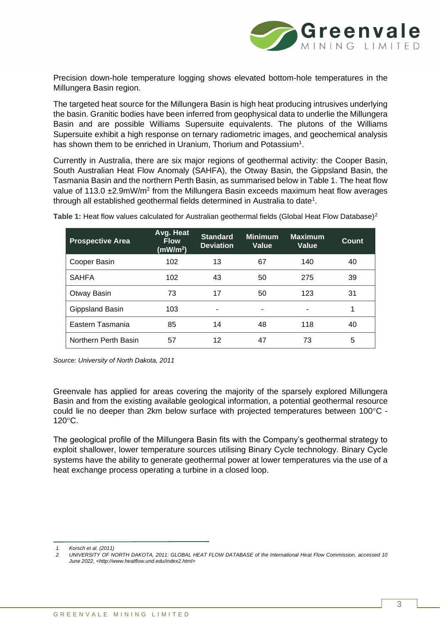

Precision down-hole temperature logging shows elevated bottom-hole temperatures in the Millungera Basin region.

The targeted heat source for the Millungera Basin is high heat producing intrusives underlying the basin. Granitic bodies have been inferred from geophysical data to underlie the Millungera Basin and are possible Williams Supersuite equivalents. The plutons of the Williams Supersuite exhibit a high response on ternary radiometric images, and geochemical analysis has shown them to be enriched in Uranium, Thorium and Potassium<sup>1</sup>.

Currently in Australia, there are six major regions of geothermal activity: the Cooper Basin, South Australian Heat Flow Anomaly (SAHFA), the Otway Basin, the Gippsland Basin, the Tasmania Basin and the northern Perth Basin, as summarised below i[n Table 1.](#page-2-0) The heat flow value of 113.0  $\pm$ 2.9mW/m<sup>2</sup> from the Millungera Basin exceeds maximum heat flow averages through all established geothermal fields determined in Australia to date<sup>1</sup>.

| <b>Prospective Area</b> | Avg. Heat<br><b>Flow</b><br>(mW/m <sup>2</sup> ) | <b>Standard</b><br><b>Deviation</b> | <b>Minimum</b><br>Value | <b>Maximum</b><br><b>Value</b> | Count |
|-------------------------|--------------------------------------------------|-------------------------------------|-------------------------|--------------------------------|-------|
| Cooper Basin            | 102                                              | 13                                  | 67                      | 140                            | 40    |
| <b>SAHFA</b>            | 102                                              | 43                                  | 50                      | 275                            | 39    |
| Otway Basin             | 73                                               | 17                                  | 50                      | 123                            | 31    |
| Gippsland Basin         | 103                                              | -                                   | -                       | ٠                              |       |
| Eastern Tasmania        | 85                                               | 14                                  | 48                      | 118                            | 40    |
| Northern Perth Basin    | 57                                               | 12                                  | 47                      | 73                             | 5     |

<span id="page-2-0"></span>Table 1: Heat flow values calculated for Australian geothermal fields (Global Heat Flow Database)<sup>2</sup>

*Source: University of North Dakota, 2011*

Greenvale has applied for areas covering the majority of the sparsely explored Millungera Basin and from the existing available geological information, a potential geothermal resource could lie no deeper than 2km below surface with projected temperatures between 100°C - $120^{\circ}$ C.

The geological profile of the Millungera Basin fits with the Company's geothermal strategy to exploit shallower, lower temperature sources utilising Binary Cycle technology. Binary Cycle systems have the ability to generate geothermal power at lower temperatures via the use of a heat exchange process operating a turbine in a closed loop.

*<sup>1.</sup> Korsch et al. (2011)*

*<sup>2.</sup> UNIVERSITY OF NORTH DAKOTA, 2011: GLOBAL HEAT FLOW DATABASE of the International Heat Flow Commission, accessed 10 June 2022, <http://www.heatflow.und.edu/index2.html>*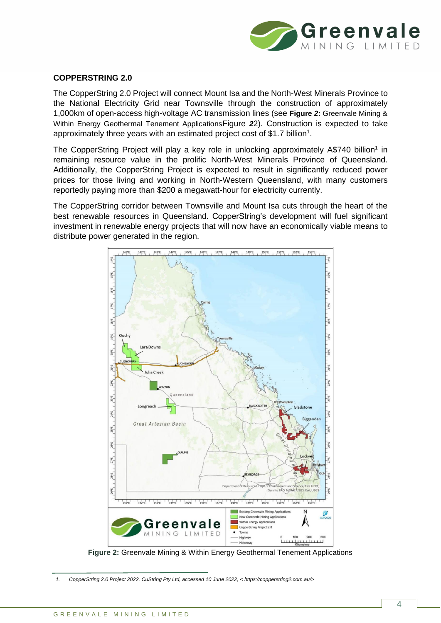

## **COPPERSTRING 2.0**

The CopperString 2.0 Project will connect Mount Isa and the North-West Minerals Province to the National Electricity Grid near Townsville through the construction of approximately 1,000km of open-access high-voltage AC transmission lines (see **Figure** *2***:** [Greenvale Mining &](#page-3-0)  [Within Energy Geothermal Tenement Applications](#page-3-0)[Figure](#page-3-0) *[2](#page-3-0)*2). Construction is expected to take approximately three years with an estimated project cost of \$1.7 billion<sup>1</sup>.

The CopperString Project will play a key role in unlocking approximately A\$740 billion<sup>1</sup> in remaining resource value in the prolific North-West Minerals Province of Queensland. Additionally, the CopperString Project is expected to result in significantly reduced power prices for those living and working in North-Western Queensland, with many customers reportedly paying more than \$200 a megawatt-hour for electricity currently.

The CopperString corridor between Townsville and Mount Isa cuts through the heart of the best renewable resources in Queensland. CopperString's development will fuel significant investment in renewable energy projects that will now have an economically viable means to distribute power generated in the region.



**Figure 2:** Greenvale Mining & Within Energy Geothermal Tenement Applications

<span id="page-3-0"></span>*<sup>1.</sup> CopperString 2.0 Project 2022, CuString Pty Ltd, accessed 10 June 2022, < https://copperstring2.com.au/>*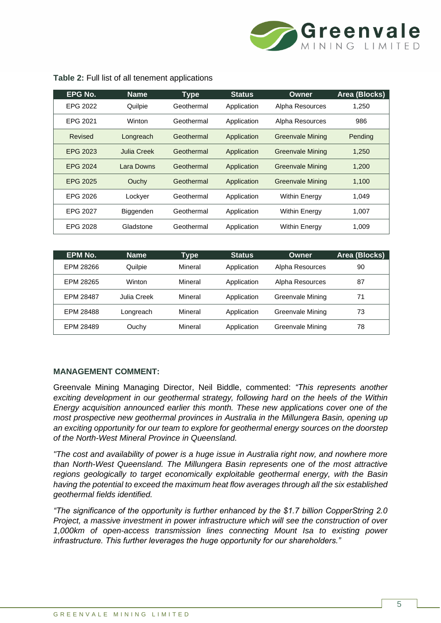

| EPG No.         | <b>Name</b> | <b>Type</b> | <b>Status</b> | <b>Owner</b>            | <b>Area (Blocks)</b> |
|-----------------|-------------|-------------|---------------|-------------------------|----------------------|
| EPG 2022        | Quilpie     | Geothermal  | Application   | Alpha Resources         | 1,250                |
| EPG 2021        | Winton      | Geothermal  | Application   | Alpha Resources         | 986                  |
| Revised         | Longreach   | Geothermal  | Application   | <b>Greenvale Mining</b> | Pending              |
| EPG 2023        | Julia Creek | Geothermal  | Application   | <b>Greenvale Mining</b> | 1.250                |
| <b>EPG 2024</b> | Lara Downs  | Geothermal  | Application   | <b>Greenvale Mining</b> | 1.200                |
| EPG 2025        | Ouchy       | Geothermal  | Application   | <b>Greenvale Mining</b> | 1,100                |
| EPG 2026        | Lockyer     | Geothermal  | Application   | <b>Within Energy</b>    | 1,049                |
| EPG 2027        | Biggenden   | Geothermal  | Application   | <b>Within Energy</b>    | 1,007                |
| EPG 2028        | Gladstone   | Geothermal  | Application   | <b>Within Energy</b>    | 1,009                |

#### **Table 2:** Full list of all tenement applications

| EPM No.   | <b>Name</b> | Type    | <b>Status</b> | Owner            | <b>Area (Blocks)</b> |
|-----------|-------------|---------|---------------|------------------|----------------------|
| EPM 28266 | Quilpie     | Mineral | Application   | Alpha Resources  | 90                   |
| EPM 28265 | Winton      | Mineral | Application   | Alpha Resources  | 87                   |
| EPM 28487 | Julia Creek | Mineral | Application   | Greenvale Mining | 71                   |
| EPM 28488 | Longreach   | Mineral | Application   | Greenvale Mining | 73                   |
| EPM 28489 | Ouchy       | Mineral | Application   | Greenvale Mining | 78                   |

# **MANAGEMENT COMMENT:**

Greenvale Mining Managing Director, Neil Biddle, commented: *"This represents another exciting development in our geothermal strategy, following hard on the heels of the Within Energy acquisition announced earlier this month. These new applications cover one of the most prospective new geothermal provinces in Australia in the Millungera Basin, opening up an exciting opportunity for our team to explore for geothermal energy sources on the doorstep of the North-West Mineral Province in Queensland.* 

*"The cost and availability of power is a huge issue in Australia right now, and nowhere more than North-West Queensland. The Millungera Basin represents one of the most attractive regions geologically to target economically exploitable geothermal energy, with the Basin having the potential to exceed the maximum heat flow averages through all the six established geothermal fields identified.* 

*"The significance of the opportunity is further enhanced by the \$1.7 billion CopperString 2.0 Project, a massive investment in power infrastructure which will see the construction of over 1,000km of open-access transmission lines connecting Mount Isa to existing power infrastructure. This further leverages the huge opportunity for our shareholders."*